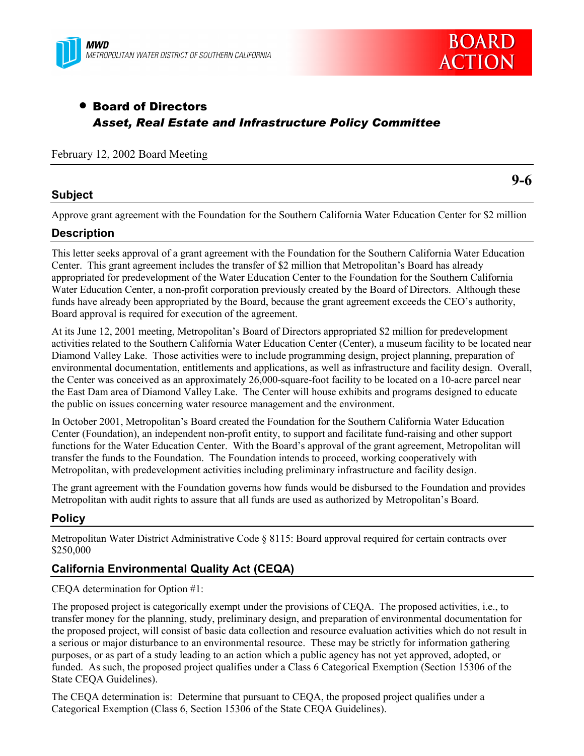



# • Board of Directors *Asset, Real Estate and Infrastructure Policy Committee*

#### February 12, 2002 Board Meeting

### **Subject**

**9-6**

Approve grant agreement with the Foundation for the Southern California Water Education Center for \$2 million

# **Description**

This letter seeks approval of a grant agreement with the Foundation for the Southern California Water Education Center. This grant agreement includes the transfer of \$2 million that Metropolitan's Board has already appropriated for predevelopment of the Water Education Center to the Foundation for the Southern California Water Education Center, a non-profit corporation previously created by the Board of Directors. Although these funds have already been appropriated by the Board, because the grant agreement exceeds the CEO's authority, Board approval is required for execution of the agreement.

At its June 12, 2001 meeting, Metropolitan's Board of Directors appropriated \$2 million for predevelopment activities related to the Southern California Water Education Center (Center), a museum facility to be located near Diamond Valley Lake. Those activities were to include programming design, project planning, preparation of environmental documentation, entitlements and applications, as well as infrastructure and facility design. Overall, the Center was conceived as an approximately 26,000-square-foot facility to be located on a 10-acre parcel near the East Dam area of Diamond Valley Lake. The Center will house exhibits and programs designed to educate the public on issues concerning water resource management and the environment.

In October 2001, Metropolitan's Board created the Foundation for the Southern California Water Education Center (Foundation), an independent non-profit entity, to support and facilitate fund-raising and other support functions for the Water Education Center. With the Board's approval of the grant agreement, Metropolitan will transfer the funds to the Foundation. The Foundation intends to proceed, working cooperatively with Metropolitan, with predevelopment activities including preliminary infrastructure and facility design.

The grant agreement with the Foundation governs how funds would be disbursed to the Foundation and provides Metropolitan with audit rights to assure that all funds are used as authorized by Metropolitan's Board.

# **Policy**

Metropolitan Water District Administrative Code § 8115: Board approval required for certain contracts over \$250,000

# **California Environmental Quality Act (CEQA)**

CEQA determination for Option #1:

The proposed project is categorically exempt under the provisions of CEQA. The proposed activities, i.e., to transfer money for the planning, study, preliminary design, and preparation of environmental documentation for the proposed project, will consist of basic data collection and resource evaluation activities which do not result in a serious or major disturbance to an environmental resource. These may be strictly for information gathering purposes, or as part of a study leading to an action which a public agency has not yet approved, adopted, or funded. As such, the proposed project qualifies under a Class 6 Categorical Exemption (Section 15306 of the State CEQA Guidelines).

The CEQA determination is: Determine that pursuant to CEQA, the proposed project qualifies under a Categorical Exemption (Class 6, Section 15306 of the State CEQA Guidelines).